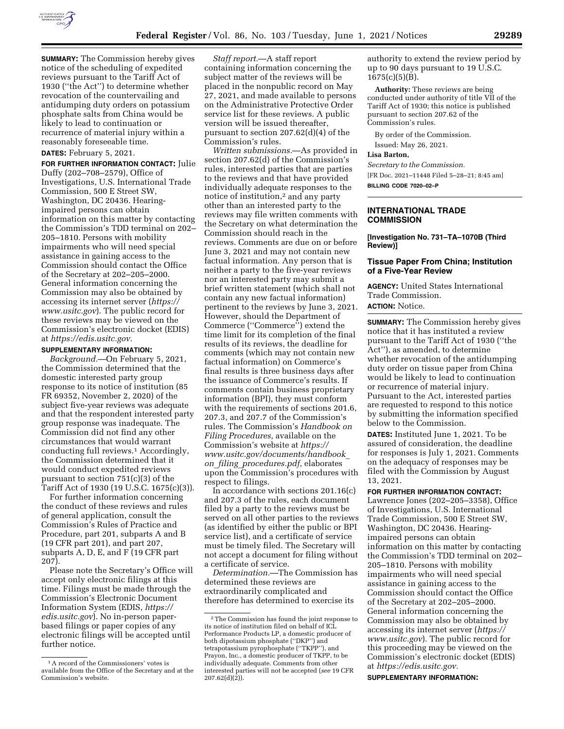

**SUMMARY:** The Commission hereby gives notice of the scheduling of expedited reviews pursuant to the Tariff Act of 1930 (''the Act'') to determine whether revocation of the countervailing and antidumping duty orders on potassium phosphate salts from China would be likely to lead to continuation or recurrence of material injury within a reasonably foreseeable time.

# **DATES:** February 5, 2021.

**FOR FURTHER INFORMATION CONTACT:** Julie Duffy (202–708–2579), Office of Investigations, U.S. International Trade Commission, 500 E Street SW, Washington, DC 20436. Hearingimpaired persons can obtain information on this matter by contacting the Commission's TDD terminal on 202– 205–1810. Persons with mobility impairments who will need special assistance in gaining access to the Commission should contact the Office of the Secretary at 202–205–2000. General information concerning the Commission may also be obtained by accessing its internet server (*https:// www.usitc.gov*). The public record for these reviews may be viewed on the Commission's electronic docket (EDIS) at *https://edis.usitc.gov.* 

## **SUPPLEMENTARY INFORMATION:**

*Background.*—On February 5, 2021, the Commission determined that the domestic interested party group response to its notice of institution (85 FR 69352, November 2, 2020) of the subject five-year reviews was adequate and that the respondent interested party group response was inadequate. The Commission did not find any other circumstances that would warrant conducting full reviews.1 Accordingly, the Commission determined that it would conduct expedited reviews pursuant to section 751(c)(3) of the Tariff Act of 1930 (19 U.S.C. 1675(c)(3)).

For further information concerning the conduct of these reviews and rules of general application, consult the Commission's Rules of Practice and Procedure, part 201, subparts A and B (19 CFR part 201), and part 207, subparts A, D, E, and F (19 CFR part 207).

Please note the Secretary's Office will accept only electronic filings at this time. Filings must be made through the Commission's Electronic Document Information System (EDIS, *https:// edis.usitc.gov*). No in-person paperbased filings or paper copies of any electronic filings will be accepted until further notice.

*Staff report.*—A staff report containing information concerning the subject matter of the reviews will be placed in the nonpublic record on May 27, 2021, and made available to persons on the Administrative Protective Order service list for these reviews. A public version will be issued thereafter, pursuant to section 207.62(d)(4) of the Commission's rules.

*Written submissions.*—As provided in section 207.62(d) of the Commission's rules, interested parties that are parties to the reviews and that have provided individually adequate responses to the notice of institution,2 and any party other than an interested party to the reviews may file written comments with the Secretary on what determination the Commission should reach in the reviews. Comments are due on or before June 3, 2021 and may not contain new factual information. Any person that is neither a party to the five-year reviews nor an interested party may submit a brief written statement (which shall not contain any new factual information) pertinent to the reviews by June 3, 2021. However, should the Department of Commerce (''Commerce'') extend the time limit for its completion of the final results of its reviews, the deadline for comments (which may not contain new factual information) on Commerce's final results is three business days after the issuance of Commerce's results. If comments contain business proprietary information (BPI), they must conform with the requirements of sections 201.6, 207.3, and 207.7 of the Commission's rules. The Commission's *Handbook on Filing Procedures,* available on the Commission's website at *https:// www.usitc.gov/documents/handbook*\_ *on*\_*filing*\_*procedures.pdf,* elaborates upon the Commission's procedures with respect to filings.

In accordance with sections 201.16(c) and 207.3 of the rules, each document filed by a party to the reviews must be served on all other parties to the reviews (as identified by either the public or BPI service list), and a certificate of service must be timely filed. The Secretary will not accept a document for filing without a certificate of service.

*Determination.*—The Commission has determined these reviews are extraordinarily complicated and therefore has determined to exercise its

authority to extend the review period by up to 90 days pursuant to 19 U.S.C.  $1675(c)(5)(B)$ .

**Authority:** These reviews are being conducted under authority of title VII of the Tariff Act of 1930; this notice is published pursuant to section 207.62 of the Commission's rules.

By order of the Commission. Issued: May 26, 2021.

#### **Lisa Barton,**

*Secretary to the Commission.*  [FR Doc. 2021–11448 Filed 5–28–21; 8:45 am] **BILLING CODE 7020–02–P** 

#### **INTERNATIONAL TRADE COMMISSION**

#### **[Investigation No. 731–TA–1070B (Third Review)]**

## **Tissue Paper From China; Institution of a Five-Year Review**

**AGENCY:** United States International Trade Commission.

#### **ACTION:** Notice.

**SUMMARY:** The Commission hereby gives notice that it has instituted a review pursuant to the Tariff Act of 1930 (''the Act''), as amended, to determine whether revocation of the antidumping duty order on tissue paper from China would be likely to lead to continuation or recurrence of material injury. Pursuant to the Act, interested parties are requested to respond to this notice by submitting the information specified below to the Commission.

**DATES:** Instituted June 1, 2021. To be assured of consideration, the deadline for responses is July 1, 2021. Comments on the adequacy of responses may be filed with the Commission by August 13, 2021.

## **FOR FURTHER INFORMATION CONTACT:**

Lawrence Jones (202–205–3358), Office of Investigations, U.S. International Trade Commission, 500 E Street SW, Washington, DC 20436. Hearingimpaired persons can obtain information on this matter by contacting the Commission's TDD terminal on 202– 205–1810. Persons with mobility impairments who will need special assistance in gaining access to the Commission should contact the Office of the Secretary at 202–205–2000. General information concerning the Commission may also be obtained by accessing its internet server (*https:// www.usitc.gov*). The public record for this proceeding may be viewed on the Commission's electronic docket (EDIS) at *https://edis.usitc.gov.* 

#### **SUPPLEMENTARY INFORMATION:**

<sup>1</sup>A record of the Commissioners' votes is available from the Office of the Secretary and at the Commission's website.

<sup>2</sup>The Commission has found the joint response to its notice of institution filed on behalf of ICL Performance Products LP, a domestic producer of both dipotassium phosphate (''DKP'') and tetrapotassium pyrophosphate (''TKPP''), and Prayon, Inc., a domestic producer of TKPP, to be individually adequate. Comments from other interested parties will not be accepted (*see* 19 CFR  $207.62(d)(2)$ ).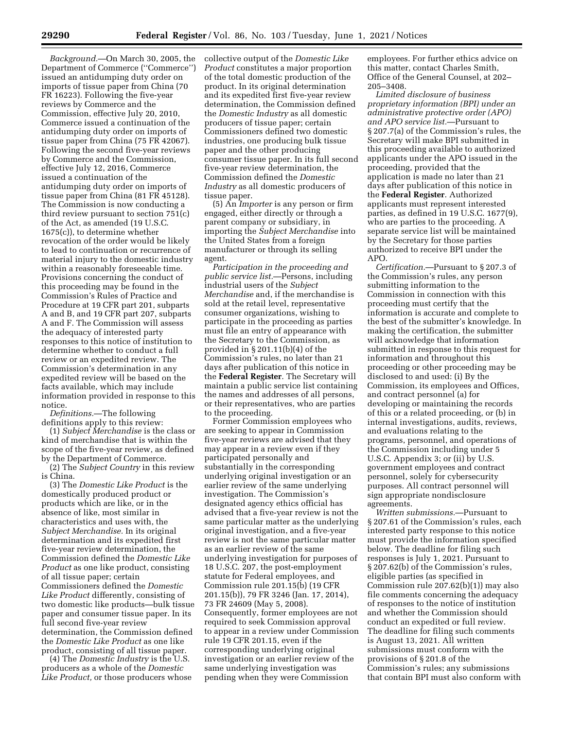*Background.*—On March 30, 2005, the Department of Commerce (''Commerce'') issued an antidumping duty order on imports of tissue paper from China (70 FR 16223). Following the five-year reviews by Commerce and the Commission, effective July 20, 2010, Commerce issued a continuation of the antidumping duty order on imports of tissue paper from China (75 FR 42067). Following the second five-year reviews by Commerce and the Commission, effective July 12, 2016, Commerce issued a continuation of the antidumping duty order on imports of tissue paper from China (81 FR 45128). The Commission is now conducting a third review pursuant to section 751(c) of the Act, as amended (19 U.S.C. 1675(c)), to determine whether revocation of the order would be likely to lead to continuation or recurrence of material injury to the domestic industry within a reasonably foreseeable time. Provisions concerning the conduct of this proceeding may be found in the Commission's Rules of Practice and Procedure at 19 CFR part 201, subparts A and B, and 19 CFR part 207, subparts A and F. The Commission will assess the adequacy of interested party responses to this notice of institution to determine whether to conduct a full review or an expedited review. The Commission's determination in any expedited review will be based on the facts available, which may include information provided in response to this notice.

*Definitions.*—The following definitions apply to this review:

(1) *Subject Merchandise* is the class or kind of merchandise that is within the scope of the five-year review, as defined by the Department of Commerce.

(2) The *Subject Country* in this review is China.

(3) The *Domestic Like Product* is the domestically produced product or products which are like, or in the absence of like, most similar in characteristics and uses with, the *Subject Merchandise.* In its original determination and its expedited first five-year review determination, the Commission defined the *Domestic Like Product* as one like product, consisting of all tissue paper; certain Commissioners defined the *Domestic Like Product* differently, consisting of two domestic like products—bulk tissue paper and consumer tissue paper. In its full second five-year review determination, the Commission defined the *Domestic Like Product* as one like product, consisting of all tissue paper.

(4) The *Domestic Industry* is the U.S. producers as a whole of the *Domestic Like Product,* or those producers whose collective output of the *Domestic Like Product* constitutes a major proportion of the total domestic production of the product. In its original determination and its expedited first five-year review determination, the Commission defined the *Domestic Industry* as all domestic producers of tissue paper; certain Commissioners defined two domestic industries, one producing bulk tissue paper and the other producing consumer tissue paper. In its full second five-year review determination, the Commission defined the *Domestic Industry* as all domestic producers of tissue paper.

(5) An *Importer* is any person or firm engaged, either directly or through a parent company or subsidiary, in importing the *Subject Merchandise* into the United States from a foreign manufacturer or through its selling agent.

*Participation in the proceeding and public service list.*—Persons, including industrial users of the *Subject Merchandise* and, if the merchandise is sold at the retail level, representative consumer organizations, wishing to participate in the proceeding as parties must file an entry of appearance with the Secretary to the Commission, as provided in § 201.11(b)(4) of the Commission's rules, no later than 21 days after publication of this notice in the **Federal Register**. The Secretary will maintain a public service list containing the names and addresses of all persons, or their representatives, who are parties to the proceeding.

Former Commission employees who are seeking to appear in Commission five-year reviews are advised that they may appear in a review even if they participated personally and substantially in the corresponding underlying original investigation or an earlier review of the same underlying investigation. The Commission's designated agency ethics official has advised that a five-year review is not the same particular matter as the underlying original investigation, and a five-year review is not the same particular matter as an earlier review of the same underlying investigation for purposes of 18 U.S.C. 207, the post-employment statute for Federal employees, and Commission rule 201.15(b) (19 CFR 201.15(b)), 79 FR 3246 (Jan. 17, 2014), 73 FR 24609 (May 5, 2008). Consequently, former employees are not required to seek Commission approval to appear in a review under Commission rule 19 CFR 201.15, even if the corresponding underlying original investigation or an earlier review of the same underlying investigation was pending when they were Commission

employees. For further ethics advice on this matter, contact Charles Smith, Office of the General Counsel, at 202– 205–3408.

*Limited disclosure of business proprietary information (BPI) under an administrative protective order (APO) and APO service list.*—Pursuant to § 207.7(a) of the Commission's rules, the Secretary will make BPI submitted in this proceeding available to authorized applicants under the APO issued in the proceeding, provided that the application is made no later than 21 days after publication of this notice in the **Federal Register**. Authorized applicants must represent interested parties, as defined in 19 U.S.C. 1677(9), who are parties to the proceeding. A separate service list will be maintained by the Secretary for those parties authorized to receive BPI under the APO.

*Certification.*—Pursuant to § 207.3 of the Commission's rules, any person submitting information to the Commission in connection with this proceeding must certify that the information is accurate and complete to the best of the submitter's knowledge. In making the certification, the submitter will acknowledge that information submitted in response to this request for information and throughout this proceeding or other proceeding may be disclosed to and used: (i) By the Commission, its employees and Offices, and contract personnel (a) for developing or maintaining the records of this or a related proceeding, or (b) in internal investigations, audits, reviews, and evaluations relating to the programs, personnel, and operations of the Commission including under 5 U.S.C. Appendix 3; or (ii) by U.S. government employees and contract personnel, solely for cybersecurity purposes. All contract personnel will sign appropriate nondisclosure agreements.

*Written submissions.*—Pursuant to § 207.61 of the Commission's rules, each interested party response to this notice must provide the information specified below. The deadline for filing such responses is July 1, 2021. Pursuant to § 207.62(b) of the Commission's rules, eligible parties (as specified in Commission rule 207.62(b)(1)) may also file comments concerning the adequacy of responses to the notice of institution and whether the Commission should conduct an expedited or full review. The deadline for filing such comments is August 13, 2021. All written submissions must conform with the provisions of § 201.8 of the Commission's rules; any submissions that contain BPI must also conform with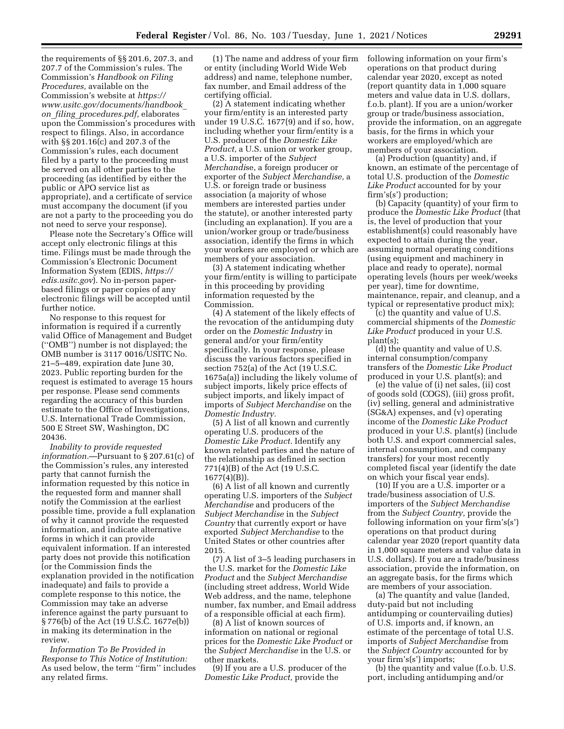the requirements of §§ 201.6, 207.3, and 207.7 of the Commission's rules. The Commission's *Handbook on Filing Procedures,* available on the Commission's website at *https:// www.usitc.gov/documents/handbook*\_ *on*\_*filing*\_*procedures.pdf,* elaborates upon the Commission's procedures with respect to filings. Also, in accordance with §§ 201.16(c) and 207.3 of the Commission's rules, each document filed by a party to the proceeding must be served on all other parties to the proceeding (as identified by either the public or APO service list as appropriate), and a certificate of service must accompany the document (if you are not a party to the proceeding you do not need to serve your response).

Please note the Secretary's Office will accept only electronic filings at this time. Filings must be made through the Commission's Electronic Document Information System (EDIS, *https:// edis.usitc.gov*). No in-person paperbased filings or paper copies of any electronic filings will be accepted until further notice.

No response to this request for information is required if a currently valid Office of Management and Budget (''OMB'') number is not displayed; the OMB number is 3117 0016/USITC No. 21–5–489, expiration date June 30, 2023. Public reporting burden for the request is estimated to average 15 hours per response. Please send comments regarding the accuracy of this burden estimate to the Office of Investigations, U.S. International Trade Commission, 500 E Street SW, Washington, DC 20436.

*Inability to provide requested information.*—Pursuant to § 207.61(c) of the Commission's rules, any interested party that cannot furnish the information requested by this notice in the requested form and manner shall notify the Commission at the earliest possible time, provide a full explanation of why it cannot provide the requested information, and indicate alternative forms in which it can provide equivalent information. If an interested party does not provide this notification (or the Commission finds the explanation provided in the notification inadequate) and fails to provide a complete response to this notice, the Commission may take an adverse inference against the party pursuant to § 776(b) of the Act (19 U.S.C. 1677e(b)) in making its determination in the review.

*Information To Be Provided in Response to This Notice of Institution:*  As used below, the term ''firm'' includes any related firms.

(1) The name and address of your firm or entity (including World Wide Web address) and name, telephone number, fax number, and Email address of the certifying official.

(2) A statement indicating whether your firm/entity is an interested party under 19 U.S.C. 1677(9) and if so, how, including whether your firm/entity is a U.S. producer of the *Domestic Like Product,* a U.S. union or worker group, a U.S. importer of the *Subject Merchandi*se, a foreign producer or exporter of the *Subject Merchandise,* a U.S. or foreign trade or business association (a majority of whose members are interested parties under the statute), or another interested party (including an explanation). If you are a union/worker group or trade/business association, identify the firms in which your workers are employed or which are members of your association.

(3) A statement indicating whether your firm/entity is willing to participate in this proceeding by providing information requested by the Commission.

(4) A statement of the likely effects of the revocation of the antidumping duty order on the *Domestic Industry* in general and/or your firm/entity specifically. In your response, please discuss the various factors specified in section 752(a) of the Act (19 U.S.C. 1675a(a)) including the likely volume of subject imports, likely price effects of subject imports, and likely impact of imports of *Subject Merchandise* on the *Domestic Industry.* 

(5) A list of all known and currently operating U.S. producers of the *Domestic Like Product.* Identify any known related parties and the nature of the relationship as defined in section 771(4)(B) of the Act (19 U.S.C.  $1677(4)(B)$ ).

(6) A list of all known and currently operating U.S. importers of the *Subject Merchandise* and producers of the *Subject Merchandise* in the *Subject Country* that currently export or have exported *Subject Merchandise* to the United States or other countries after 2015.

(7) A list of 3–5 leading purchasers in the U.S. market for the *Domestic Like Product* and the *Subject Merchandise*  (including street address, World Wide Web address, and the name, telephone number, fax number, and Email address of a responsible official at each firm).

(8) A list of known sources of information on national or regional prices for the *Domestic Like Product* or the *Subject Merchandise* in the U.S. or other markets.

(9) If you are a U.S. producer of the *Domestic Like Product,* provide the

following information on your firm's operations on that product during calendar year 2020, except as noted (report quantity data in 1,000 square meters and value data in U.S. dollars, f.o.b. plant). If you are a union/worker group or trade/business association, provide the information, on an aggregate basis, for the firms in which your workers are employed/which are members of your association.

(a) Production (quantity) and, if known, an estimate of the percentage of total U.S. production of the *Domestic Like Product* accounted for by your firm's(s') production;

(b) Capacity (quantity) of your firm to produce the *Domestic Like Product* (that is, the level of production that your establishment(s) could reasonably have expected to attain during the year, assuming normal operating conditions (using equipment and machinery in place and ready to operate), normal operating levels (hours per week/weeks per year), time for downtime, maintenance, repair, and cleanup, and a typical or representative product mix);

(c) the quantity and value of U.S. commercial shipments of the *Domestic Like Product* produced in your U.S. plant(s);

(d) the quantity and value of U.S. internal consumption/company transfers of the *Domestic Like Product*  produced in your U.S. plant(s); and

(e) the value of (i) net sales, (ii) cost of goods sold (COGS), (iii) gross profit, (iv) selling, general and administrative (SG&A) expenses, and (v) operating income of the *Domestic Like Product*  produced in your U.S. plant(s) (include both U.S. and export commercial sales, internal consumption, and company transfers) for your most recently completed fiscal year (identify the date on which your fiscal year ends).

(10) If you are a U.S. importer or a trade/business association of U.S. importers of the *Subject Merchandise*  from the *Subject Country,* provide the following information on your firm's(s') operations on that product during calendar year 2020 (report quantity data in 1,000 square meters and value data in U.S. dollars). If you are a trade/business association, provide the information, on an aggregate basis, for the firms which are members of your association.

(a) The quantity and value (landed, duty-paid but not including antidumping or countervailing duties) of U.S. imports and, if known, an estimate of the percentage of total U.S. imports of *Subject Merchandise* from the *Subject Country* accounted for by your firm's(s') imports;

(b) the quantity and value (f.o.b. U.S. port, including antidumping and/or